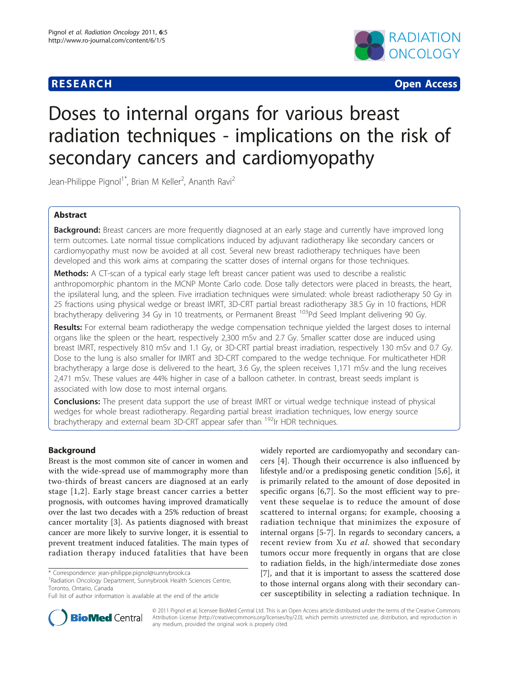## **RESEARCH CONTROL** CONTROL CONTROL CONTROL CONTROL CONTROL CONTROL CONTROL CONTROL CONTROL CONTROL CONTROL CONTROL



# Doses to internal organs for various breast radiation techniques - implications on the risk of secondary cancers and cardiomyopathy

Jean-Philippe Pignol<sup>1\*</sup>, Brian M Keller<sup>2</sup>, Ananth Ravi<sup>2</sup>

## Abstract

**Background:** Breast cancers are more frequently diagnosed at an early stage and currently have improved long term outcomes. Late normal tissue complications induced by adjuvant radiotherapy like secondary cancers or cardiomyopathy must now be avoided at all cost. Several new breast radiotherapy techniques have been developed and this work aims at comparing the scatter doses of internal organs for those techniques.

**Methods:** A CT-scan of a typical early stage left breast cancer patient was used to describe a realistic anthropomorphic phantom in the MCNP Monte Carlo code. Dose tally detectors were placed in breasts, the heart, the ipsilateral lung, and the spleen. Five irradiation techniques were simulated: whole breast radiotherapy 50 Gy in 25 fractions using physical wedge or breast IMRT, 3D-CRT partial breast radiotherapy 38.5 Gy in 10 fractions, HDR brachytherapy delivering 34 Gy in 10 treatments, or Permanent Breast 103Pd Seed Implant delivering 90 Gy.

Results: For external beam radiotherapy the wedge compensation technique yielded the largest doses to internal organs like the spleen or the heart, respectively 2,300 mSv and 2.7 Gy. Smaller scatter dose are induced using breast IMRT, respectively 810 mSv and 1.1 Gy, or 3D-CRT partial breast irradiation, respectively 130 mSv and 0.7 Gy. Dose to the lung is also smaller for IMRT and 3D-CRT compared to the wedge technique. For multicatheter HDR brachytherapy a large dose is delivered to the heart, 3.6 Gy, the spleen receives 1,171 mSv and the lung receives 2,471 mSv. These values are 44% higher in case of a balloon catheter. In contrast, breast seeds implant is associated with low dose to most internal organs.

**Conclusions:** The present data support the use of breast IMRT or virtual wedge technique instead of physical wedges for whole breast radiotherapy. Regarding partial breast irradiation techniques, low energy source brachytherapy and external beam 3D-CRT appear safer than <sup>192</sup>Ir HDR techniques.

## Background

Breast is the most common site of cancer in women and with the wide-spread use of mammography more than two-thirds of breast cancers are diagnosed at an early stage [[1](#page-5-0),[2](#page-5-0)]. Early stage breast cancer carries a better prognosis, with outcomes having improved dramatically over the last two decades with a 25% reduction of breast cancer mortality [[3\]](#page-5-0). As patients diagnosed with breast cancer are more likely to survive longer, it is essential to prevent treatment induced fatalities. The main types of radiation therapy induced fatalities that have been

<sup>1</sup> Radiation Oncology Department, Sunnybrook Health Sciences Centre, Toronto, Ontario, Canada

widely reported are cardiomyopathy and secondary cancers [\[4](#page-5-0)]. Though their occurrence is also influenced by lifestyle and/or a predisposing genetic condition [[5,6](#page-5-0)], it is primarily related to the amount of dose deposited in specific organs [[6,7](#page-5-0)]. So the most efficient way to prevent these sequelae is to reduce the amount of dose scattered to internal organs; for example, choosing a radiation technique that minimizes the exposure of internal organs [[5-7](#page-5-0)]. In regards to secondary cancers, a recent review from Xu et al. showed that secondary tumors occur more frequently in organs that are close to radiation fields, in the high/intermediate dose zones [[7\]](#page-5-0), and that it is important to assess the scattered dose to those internal organs along with their secondary cancer susceptibility in selecting a radiation technique. In



© 2011 Pignol et al; licensee BioMed Central Ltd. This is an Open Access article distributed under the terms of the Creative Commons Attribution License [\(http://creativecommons.org/licenses/by/2.0](http://creativecommons.org/licenses/by/2.0)), which permits unrestricted use, distribution, and reproduction in any medium, provided the original work is properly cited.

<sup>\*</sup> Correspondence: [jean-philippe.pignol@sunnybrook.ca](mailto:jean-philippe.pignol@sunnybrook.ca)

Full list of author information is available at the end of the article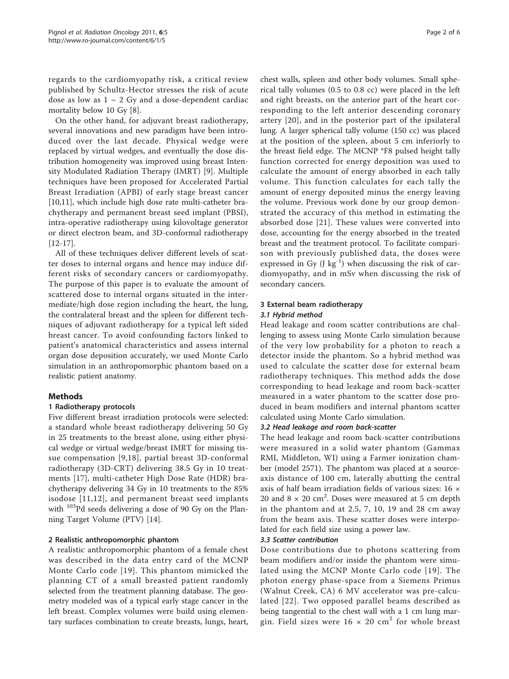regards to the cardiomyopathy risk, a critical review published by Schultz-Hector stresses the risk of acute dose as low as  $1 \sim 2$  Gy and a dose-dependent cardiac mortality below 10 Gy [\[8\]](#page-5-0).

On the other hand, for adjuvant breast radiotherapy, several innovations and new paradigm have been introduced over the last decade. Physical wedge were replaced by virtual wedges, and eventually the dose distribution homogeneity was improved using breast Intensity Modulated Radiation Therapy (IMRT) [\[9](#page-5-0)]. Multiple techniques have been proposed for Accelerated Partial Breast Irradiation (APBI) of early stage breast cancer [[10,11\]](#page-5-0), which include high dose rate multi-catheter brachytherapy and permanent breast seed implant (PBSI), intra-operative radiotherapy using kilovoltage generator or direct electron beam, and 3D-conformal radiotherapy [[12-17\]](#page-5-0).

All of these techniques deliver different levels of scatter doses to internal organs and hence may induce different risks of secondary cancers or cardiomyopathy. The purpose of this paper is to evaluate the amount of scattered dose to internal organs situated in the intermediate/high dose region including the heart, the lung, the contralateral breast and the spleen for different techniques of adjuvant radiotherapy for a typical left sided breast cancer. To avoid confounding factors linked to patient's anatomical characteristics and assess internal organ dose deposition accurately, we used Monte Carlo simulation in an anthropomorphic phantom based on a realistic patient anatomy.

## Methods

## 1 Radiotherapy protocols

Five different breast irradiation protocols were selected: a standard whole breast radiotherapy delivering 50 Gy in 25 treatments to the breast alone, using either physical wedge or virtual wedge/breast IMRT for missing tissue compensation [[9,18\]](#page-5-0), partial breast 3D-conformal radiotherapy (3D-CRT) delivering 38.5 Gy in 10 treatments [[17](#page-5-0)], multi-catheter High Dose Rate (HDR) brachytherapy delivering 34 Gy in 10 treatments to the 85% isodose [[11,12\]](#page-5-0), and permanent breast seed implants with  $103Pd$  seeds delivering a dose of 90 Gy on the Planning Target Volume (PTV) [[14\]](#page-5-0).

## 2 Realistic anthropomorphic phantom

A realistic anthropomorphic phantom of a female chest was described in the data entry card of the MCNP Monte Carlo code [\[19\]](#page-5-0). This phantom mimicked the planning CT of a small breasted patient randomly selected from the treatment planning database. The geometry modeled was of a typical early stage cancer in the left breast. Complex volumes were build using elementary surfaces combination to create breasts, lungs, heart, chest walls, spleen and other body volumes. Small spherical tally volumes (0.5 to 0.8 cc) were placed in the left and right breasts, on the anterior part of the heart corresponding to the left anterior descending coronary artery [[20](#page-5-0)], and in the posterior part of the ipsilateral lung. A larger spherical tally volume (150 cc) was placed at the position of the spleen, about 5 cm inferiorly to the breast field edge. The MCNP \*F8 pulsed height tally function corrected for energy deposition was used to calculate the amount of energy absorbed in each tally volume. This function calculates for each tally the amount of energy deposited minus the energy leaving the volume. Previous work done by our group demonstrated the accuracy of this method in estimating the absorbed dose [\[21\]](#page-5-0). These values were converted into dose, accounting for the energy absorbed in the treated breast and the treatment protocol. To facilitate comparison with previously published data, the doses were expressed in Gy  $(J \ kg^{-1})$  when discussing the risk of cardiomyopathy, and in mSv when discussing the risk of secondary cancers.

#### 3 External beam radiotherapy

## 3.1 Hybrid method

Head leakage and room scatter contributions are challenging to assess using Monte Carlo simulation because of the very low probability for a photon to reach a detector inside the phantom. So a hybrid method was used to calculate the scatter dose for external beam radiotherapy techniques. This method adds the dose corresponding to head leakage and room back-scatter measured in a water phantom to the scatter dose produced in beam modifiers and internal phantom scatter calculated using Monte Carlo simulation.

## 3.2 Head leakage and room back-scatter

The head leakage and room back-scatter contributions were measured in a solid water phantom (Gammax RMI, Middleton, WI) using a Farmer ionization chamber (model 2571). The phantom was placed at a sourceaxis distance of 100 cm, laterally abutting the central axis of half beam irradiation fields of various sizes: 16 × 20 and  $8 \times 20$  cm<sup>2</sup>. Doses were measured at 5 cm depth in the phantom and at 2.5, 7, 10, 19 and 28 cm away from the beam axis. These scatter doses were interpolated for each field size using a power law.

#### 3.3 Scatter contribution

Dose contributions due to photons scattering from beam modifiers and/or inside the phantom were simulated using the MCNP Monte Carlo code [[19](#page-5-0)]. The photon energy phase-space from a Siemens Primus (Walnut Creek, CA) 6 MV accelerator was pre-calculated [\[22\]](#page-5-0). Two opposed parallel beams described as being tangential to the chest wall with a 1 cm lung margin. Field sizes were  $16 \times 20$  cm<sup>2</sup> for whole breast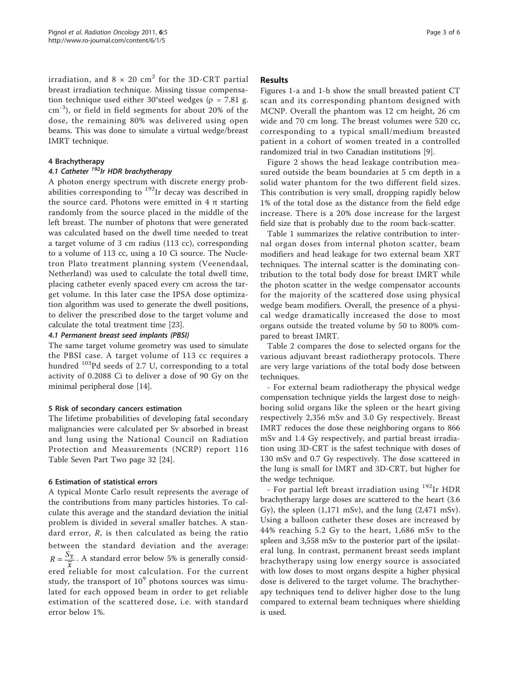irradiation, and  $8 \times 20$  cm<sup>2</sup> for the 3D-CRT partial breast irradiation technique. Missing tissue compensation technique used either 30°steel wedges ( $\rho$  = 7.81 g. cm<sup>-3</sup>), or field in field segments for about 20% of the dose, the remaining 80% was delivered using open beams. This was done to simulate a virtual wedge/breast IMRT technique.

#### 4 Brachytherapy

## 4.1 Catheter <sup>192</sup>Ir HDR brachytherapy

A photon energy spectrum with discrete energy probabilities corresponding to  $192$ Ir decay was described in the source card. Photons were emitted in  $4 \pi$  starting randomly from the source placed in the middle of the left breast. The number of photons that were generated was calculated based on the dwell time needed to treat a target volume of 3 cm radius (113 cc), corresponding to a volume of 113 cc, using a 10 Ci source. The Nucletron Plato treatment planning system (Veenendaal, Netherland) was used to calculate the total dwell time, placing catheter evenly spaced every cm across the target volume. In this later case the IPSA dose optimization algorithm was used to generate the dwell positions, to deliver the prescribed dose to the target volume and calculate the total treatment time [[23](#page-5-0)].

#### 4.1 Permanent breast seed implants (PBSI)

The same target volume geometry was used to simulate the PBSI case. A target volume of 113 cc requires a hundred 103Pd seeds of 2.7 U, corresponding to a total activity of 0.2088 Ci to deliver a dose of 90 Gy on the minimal peripheral dose [[14\]](#page-5-0).

## 5 Risk of secondary cancers estimation

The lifetime probabilities of developing fatal secondary malignancies were calculated per Sv absorbed in breast and lung using the National Council on Radiation Protection and Measurements (NCRP) report 116 Table Seven Part Two page 32 [\[24](#page-5-0)].

## 6 Estimation of statistical errors

A typical Monte Carlo result represents the average of the contributions from many particles histories. To calculate this average and the standard deviation the initial problem is divided in several smaller batches. A standard error,  $R$ , is then calculated as being the ratio between the standard deviation and the average:  $R = \frac{S_{\overline{x}}}{\overline{x}}$ . A standard error below 5% is generally consid $x = \frac{x}{x}$  and continuous contracts on the general position. study, the transport of  $10^9$  photons sources was simulated for each opposed beam in order to get reliable estimation of the scattered dose, i.e. with standard error below 1%.

#### Results

Figures [1-a](#page-3-0) and [1-b](#page-3-0) show the small breasted patient CT scan and its corresponding phantom designed with MCNP. Overall the phantom was 12 cm height, 26 cm wide and 70 cm long. The breast volumes were 520 cc, corresponding to a typical small/medium breasted patient in a cohort of women treated in a controlled randomized trial in two Canadian institutions [[9\]](#page-5-0).

Figure [2](#page-3-0) shows the head leakage contribution measured outside the beam boundaries at 5 cm depth in a solid water phantom for the two different field sizes. This contribution is very small, dropping rapidly below 1% of the total dose as the distance from the field edge increase. There is a 20% dose increase for the largest field size that is probably due to the room back-scatter.

Table [1](#page-4-0) summarizes the relative contribution to internal organ doses from internal photon scatter, beam modifiers and head leakage for two external beam XRT techniques. The internal scatter is the dominating contribution to the total body dose for breast IMRT while the photon scatter in the wedge compensator accounts for the majority of the scattered dose using physical wedge beam modifiers. Overall, the presence of a physical wedge dramatically increased the dose to most organs outside the treated volume by 50 to 800% compared to breast IMRT.

Table [2](#page-4-0) compares the dose to selected organs for the various adjuvant breast radiotherapy protocols. There are very large variations of the total body dose between techniques.

- For external beam radiotherapy the physical wedge compensation technique yields the largest dose to neighboring solid organs like the spleen or the heart giving respectively 2,356 mSv and 3.0 Gy respectively. Breast IMRT reduces the dose these neighboring organs to 866 mSv and 1.4 Gy respectively, and partial breast irradiation using 3D-CRT is the safest technique with doses of 130 mSv and 0.7 Gy respectively. The dose scattered in the lung is small for IMRT and 3D-CRT, but higher for the wedge technique.

- For partial left breast irradiation using <sup>192</sup>Ir HDR brachytherapy large doses are scattered to the heart (3.6 Gy), the spleen  $(1,171 \text{ mSv})$ , and the lung  $(2,471 \text{ mSv})$ . Using a balloon catheter these doses are increased by 44% reaching 5.2 Gy to the heart, 1,686 mSv to the spleen and 3,558 mSv to the posterior part of the ipsilateral lung. In contrast, permanent breast seeds implant brachytherapy using low energy source is associated with low doses to most organs despite a higher physical dose is delivered to the target volume. The brachytherapy techniques tend to deliver higher dose to the lung compared to external beam techniques where shielding is used.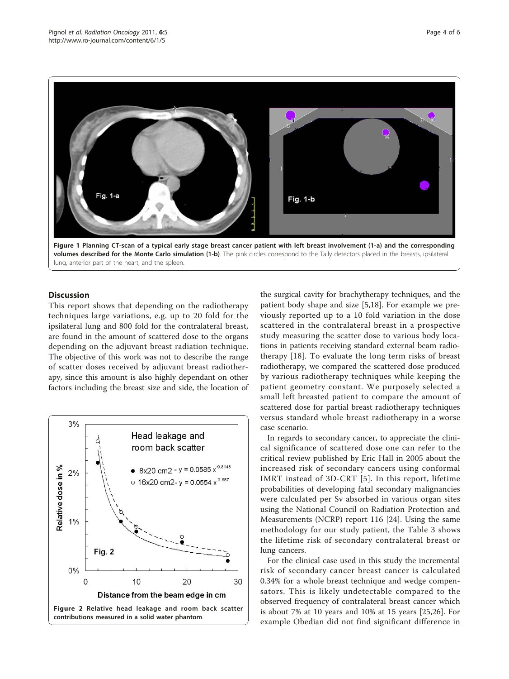<span id="page-3-0"></span>

volumes described for the Monte Carlo simulation (1-b). The pink circles correspond to the Tally detectors placed in the breasts, ipsilateral lung, anterior part of the heart, and the spleen.

## **Discussion**

This report shows that depending on the radiotherapy techniques large variations, e.g. up to 20 fold for the ipsilateral lung and 800 fold for the contralateral breast, are found in the amount of scattered dose to the organs depending on the adjuvant breast radiation technique. The objective of this work was not to describe the range of scatter doses received by adjuvant breast radiotherapy, since this amount is also highly dependant on other factors including the breast size and side, the location of



the surgical cavity for brachytherapy techniques, and the patient body shape and size [[5](#page-5-0),[18\]](#page-5-0). For example we previously reported up to a 10 fold variation in the dose scattered in the contralateral breast in a prospective study measuring the scatter dose to various body locations in patients receiving standard external beam radiotherapy [\[18](#page-5-0)]. To evaluate the long term risks of breast radiotherapy, we compared the scattered dose produced by various radiotherapy techniques while keeping the patient geometry constant. We purposely selected a small left breasted patient to compare the amount of scattered dose for partial breast radiotherapy techniques versus standard whole breast radiotherapy in a worse case scenario.

In regards to secondary cancer, to appreciate the clinical significance of scattered dose one can refer to the critical review published by Eric Hall in 2005 about the increased risk of secondary cancers using conformal IMRT instead of 3D-CRT [[5](#page-5-0)]. In this report, lifetime probabilities of developing fatal secondary malignancies were calculated per Sv absorbed in various organ sites using the National Council on Radiation Protection and Measurements (NCRP) report 116 [\[24](#page-5-0)]. Using the same methodology for our study patient, the Table [3](#page-4-0) shows the lifetime risk of secondary contralateral breast or lung cancers.

For the clinical case used in this study the incremental risk of secondary cancer breast cancer is calculated 0.34% for a whole breast technique and wedge compensators. This is likely undetectable compared to the observed frequency of contralateral breast cancer which is about 7% at 10 years and 10% at 15 years [\[25,26\]](#page-5-0). For example Obedian did not find significant difference in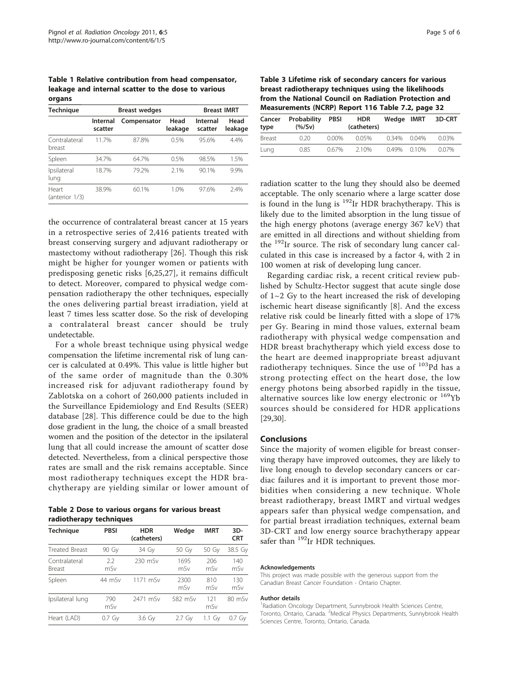<span id="page-4-0"></span>Table 1 Relative contribution from head compensator, leakage and internal scatter to the dose to various organs

| -                       |                     |                      |                    |                     |                 |
|-------------------------|---------------------|----------------------|--------------------|---------------------|-----------------|
| <b>Technique</b>        |                     | <b>Breast wedges</b> | <b>Breast IMRT</b> |                     |                 |
|                         | Internal<br>scatter | Compensator          | Head<br>leakage    | Internal<br>scatter | Head<br>leakage |
| Contralateral<br>breast | 11.7%               | 87.8%                | 0.5%               | 95.6%               | 4.4%            |
| Spleen                  | 34.7%               | 64.7%                | 0.5%               | 98.5%               | 1.5%            |
| Ipsilateral<br>lung     | 18.7%               | 79 2%                | 2.1%               | 90.1%               | 9.9%            |
| Heart<br>(anterior 1/3) | 38.9%               | 60.1%                | 1.0%               | 97.6%               | 2.4%            |

the occurrence of contralateral breast cancer at 15 years in a retrospective series of 2,416 patients treated with breast conserving surgery and adjuvant radiotherapy or mastectomy without radiotherapy [[26\]](#page-5-0). Though this risk might be higher for younger women or patients with predisposing genetic risks [[6,25](#page-5-0),[27\]](#page-5-0), it remains difficult to detect. Moreover, compared to physical wedge compensation radiotherapy the other techniques, especially the ones delivering partial breast irradiation, yield at least 7 times less scatter dose. So the risk of developing a contralateral breast cancer should be truly undetectable.

For a whole breast technique using physical wedge compensation the lifetime incremental risk of lung cancer is calculated at 0.49%. This value is little higher but of the same order of magnitude than the 0.30% increased risk for adjuvant radiotherapy found by Zablotska on a cohort of 260,000 patients included in the Surveillance Epidemiology and End Results (SEER) database [\[28](#page-5-0)]. This difference could be due to the high dose gradient in the lung, the choice of a small breasted women and the position of the detector in the ipsilateral lung that all could increase the amount of scatter dose detected. Nevertheless, from a clinical perspective those rates are small and the risk remains acceptable. Since most radiotherapy techniques except the HDR brachytherapy are yielding similar or lower amount of

Table 2 Dose to various organs for various breast radiotherapy techniques

| <b>Technique</b>        | <b>PBSI</b> | <b>HDR</b><br>(catheters) | Wedge       | <b>IMRT</b> | $3D-$<br><b>CRT</b> |
|-------------------------|-------------|---------------------------|-------------|-------------|---------------------|
| <b>Treated Breast</b>   | 90 Gy       | 34 Gy                     | 50 Gy       | 50 Gy       | 38.5 Gy             |
| Contralateral<br>Breast | 2.2<br>mSv  | 230 mSv                   | 1695<br>mSv | 206<br>mSv  | 140<br>mSv          |
| Spleen                  | 44 mSv      | 1171 mSv                  | 2300<br>mSv | 810<br>mSv  | 130<br>mSv          |
| Ipsilateral lung        | 790<br>mSv  | 2471 mSv                  | 582 mSv     | 121<br>mSv  | $80 \text{ mSv}$    |
| Heart (LAD)             | $0.7\,$ Gy  | 3.6 Gy                    | 2.7 Gv      | 1.1 Gv      | 0.7 Gv              |

Table 3 Lifetime risk of secondary cancers for various breast radiotherapy techniques using the likelihoods from the National Council on Radiation Protection and Measurements (NCRP) Report 116 Table 7.2, page 32

| Cancer<br>type | Probability<br>(% / Sv) | <b>PBSI</b> | <b>HDR</b><br>(catheters) | Wedge IMRT        | 3D-CRT |
|----------------|-------------------------|-------------|---------------------------|-------------------|--------|
| <b>Breast</b>  | 0.20                    | 0.00%       | 0.05%                     | $0.34\%$ $0.04\%$ | 0.03%  |
| Lung           | 0.85                    | 0.67%       | 2.10%                     | $0.49\%$ $0.10\%$ | 0.07%  |

radiation scatter to the lung they should also be deemed acceptable. The only scenario where a large scatter dose is found in the lung is <sup>192</sup>Ir HDR brachytherapy. This is likely due to the limited absorption in the lung tissue of the high energy photons (average energy 367 keV) that are emitted in all directions and without shielding from the  $192$ Ir source. The risk of secondary lung cancer calculated in this case is increased by a factor 4, with 2 in 100 women at risk of developing lung cancer.

Regarding cardiac risk, a recent critical review published by Schultz-Hector suggest that acute single dose of  $1~2$  Gy to the heart increased the risk of developing ischemic heart disease significantly [[8](#page-5-0)]. And the excess relative risk could be linearly fitted with a slope of 17% per Gy. Bearing in mind those values, external beam radiotherapy with physical wedge compensation and HDR breast brachytherapy which yield excess dose to the heart are deemed inappropriate breast adjuvant radiotherapy techniques. Since the use of  $103Pd$  has a strong protecting effect on the heart dose, the low energy photons being absorbed rapidly in the tissue, alternative sources like low energy electronic or  $169$ Yb sources should be considered for HDR applications [[29,30\]](#page-5-0).

#### Conclusions

Since the majority of women eligible for breast conserving therapy have improved outcomes, they are likely to live long enough to develop secondary cancers or cardiac failures and it is important to prevent those morbidities when considering a new technique. Whole breast radiotherapy, breast IMRT and virtual wedges appears safer than physical wedge compensation, and for partial breast irradiation techniques, external beam 3D-CRT and low energy source brachytherapy appear safer than  $^{192}$ Ir HDR techniques.

#### Acknowledgements

This project was made possible with the generous support from the Canadian Breast Cancer Foundation - Ontario Chapter.

#### Author details

<sup>1</sup> Radiation Oncology Department, Sunnybrook Health Sciences Centre Toronto, Ontario, Canada. <sup>2</sup>Medical Physics Departments, Sunnybrook Health Sciences Centre, Toronto, Ontario, Canada.